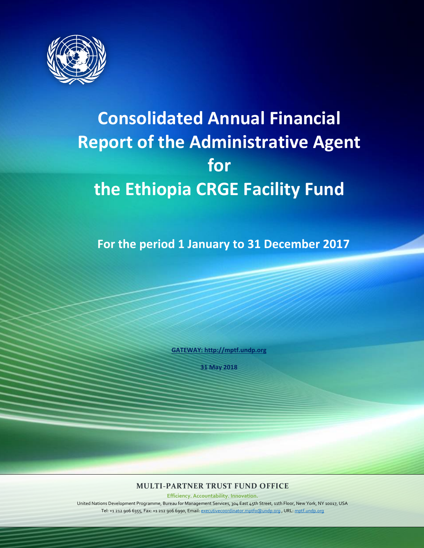

# **Consolidated Annual Financial Report of the Administrative Agent for the Ethiopia CRGE Facility Fund**

**For the period 1 January to 31 December 2017**

**[GATEWAY: http://mptf.undp.org](http://mptf.undp.org/)**

**31 May 2018**

**MULTI-PARTNER TRUST FUND OFFICE** 

**Efficiency. Accountability. Innovation.**

United Nations Development Programme, Bureau for Management Services, 304 East 45th Street, 11th Floor, New York, NY 10017, USA Tel: +1 212 906 6355, Fax: +1 212 906 6990, Email[: executivecoordinator.mptfo@undp.org](mailto:executivecoordinator.mptfo@undp.org) , URL[: mptf.undp.org](http://mptf.undp.org/)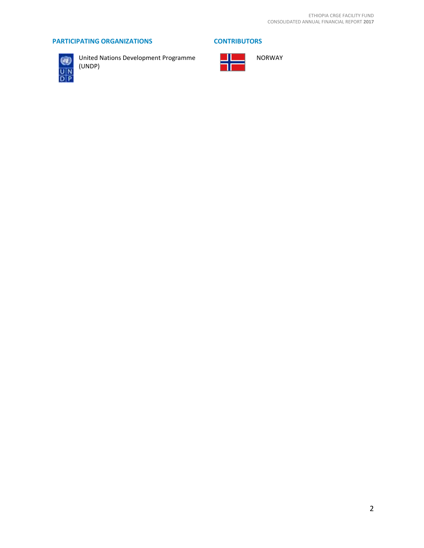# **PARTICIPATING ORGANIZATIONS CONTRIBUTORS**



United Nations Development Programme (UNDP)

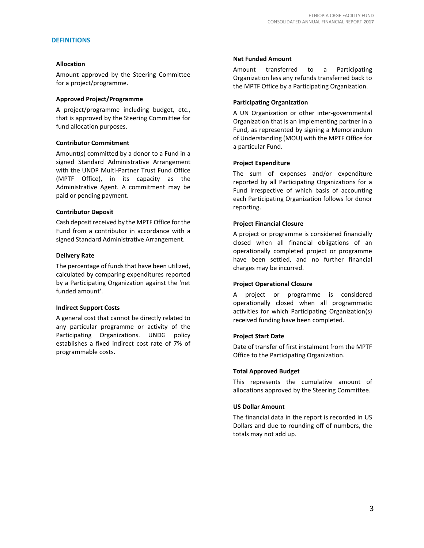# **DEFINITIONS**

#### **Allocation**

Amount approved by the Steering Committee for a project/programme.

# **Approved Project/Programme**

A project/programme including budget, etc., that is approved by the Steering Committee for fund allocation purposes.

#### **Contributor Commitment**

Amount(s) committed by a donor to a Fund in a signed Standard Administrative Arrangement with the UNDP Multi-Partner Trust Fund Office (MPTF Office), in its capacity as the Administrative Agent. A commitment may be paid or pending payment.

#### **Contributor Deposit**

Cash deposit received by the MPTF Office for the Fund from a contributor in accordance with a signed Standard Administrative Arrangement.

# **Delivery Rate**

The percentage of funds that have been utilized, calculated by comparing expenditures reported by a Participating Organization against the 'net funded amount'.

# **Indirect Support Costs**

A general cost that cannot be directly related to any particular programme or activity of the Participating Organizations. UNDG policy establishes a fixed indirect cost rate of 7% of programmable costs.

#### **Net Funded Amount**

Amount transferred to a Participating Organization less any refunds transferred back to the MPTF Office by a Participating Organization.

### **Participating Organization**

A UN Organization or other inter-governmental Organization that is an implementing partner in a Fund, as represented by signing a Memorandum of Understanding (MOU) with the MPTF Office for a particular Fund.

#### **Project Expenditure**

The sum of expenses and/or expenditure reported by all Participating Organizations for a Fund irrespective of which basis of accounting each Participating Organization follows for donor reporting.

#### **Project Financial Closure**

A project or programme is considered financially closed when all financial obligations of an operationally completed project or programme have been settled, and no further financial charges may be incurred.

# **Project Operational Closure**

A project or programme is considered operationally closed when all programmatic activities for which Participating Organization(s) received funding have been completed.

# **Project Start Date**

Date of transfer of first instalment from the MPTF Office to the Participating Organization.

# **Total Approved Budget**

This represents the cumulative amount of allocations approved by the Steering Committee.

#### **US Dollar Amount**

The financial data in the report is recorded in US Dollars and due to rounding off of numbers, the totals may not add up.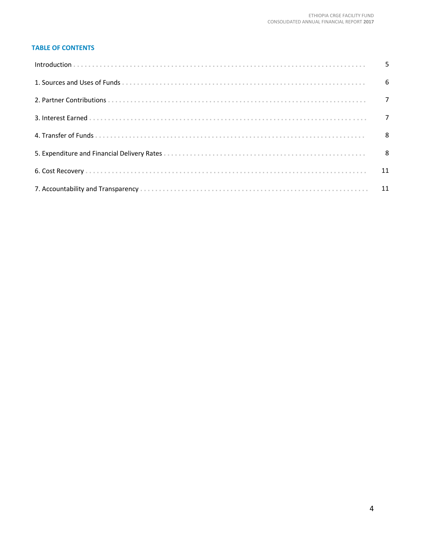# **TABLE OF CONTENTS**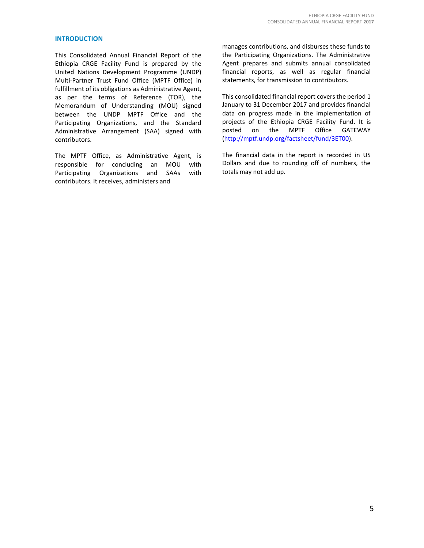# **INTRODUCTION**

This Consolidated Annual Financial Report of the Ethiopia CRGE Facility Fund is prepared by the United Nations Development Programme (UNDP) Multi-Partner Trust Fund Office (MPTF Office) in fulfillment of its obligations as Administrative Agent, as per the terms of Reference (TOR), the Memorandum of Understanding (MOU) signed between the UNDP MPTF Office and the Participating Organizations, and the Standard Administrative Arrangement (SAA) signed with contributors.

The MPTF Office, as Administrative Agent, is responsible for concluding an MOU with Participating Organizations and SAAs with contributors. It receives, administers and

manages contributions, and disburses these funds to the Participating Organizations. The Administrative Agent prepares and submits annual consolidated financial reports, as well as regular financial statements, for transmission to contributors.

This consolidated financial report covers the period 1 January to 31 December 2017 and provides financial data on progress made in the implementation of projects of the Ethiopia CRGE Facility Fund. It is posted on the MPTF Office GATEWAY [\(http://mptf.undp.org/factsheet/fund/3ET00\)](http://mptf.undp.org/factsheet/fund/3ET00).

The financial data in the report is recorded in US Dollars and due to rounding off of numbers, the totals may not add up.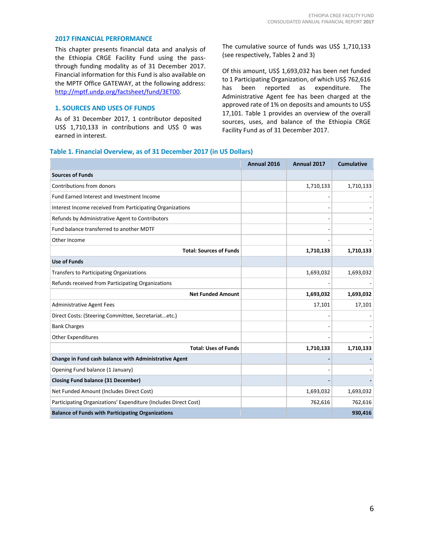#### **2017 FINANCIAL PERFORMANCE**

This chapter presents financial data and analysis of the Ethiopia CRGE Facility Fund using the passthrough funding modality as of 31 December 2017. Financial information for this Fund is also available on the MPTF Office GATEWAY, at the following address: [http://mptf.undp.org/factsheet/fund/3ET00.](http://mptf.undp.org/factsheet/fund/3ET00)

# **1. SOURCES AND USES OF FUNDS**

As of 31 December 2017, 1 contributor deposited US\$ 1,710,133 in contributions and US\$ 0 was earned in interest.

The cumulative source of funds was US\$ 1,710,133 (see respectively, Tables 2 and 3)

Of this amount, US\$ 1,693,032 has been net funded to 1 Participating Organization, of which US\$ 762,616 has been reported as expenditure. The Administrative Agent fee has been charged at the approved rate of 1% on deposits and amounts to US\$ 17,101. Table 1 provides an overview of the overall sources, uses, and balance of the Ethiopia CRGE Facility Fund as of 31 December 2017.

#### **Table 1. Financial Overview, as of 31 December 2017 (in US Dollars)**

|                                                                 | Annual 2016 | Annual 2017 | <b>Cumulative</b> |
|-----------------------------------------------------------------|-------------|-------------|-------------------|
| <b>Sources of Funds</b>                                         |             |             |                   |
| Contributions from donors                                       |             | 1,710,133   | 1,710,133         |
| <b>Fund Earned Interest and Investment Income</b>               |             |             |                   |
| Interest Income received from Participating Organizations       |             |             |                   |
| Refunds by Administrative Agent to Contributors                 |             |             |                   |
| Fund balance transferred to another MDTF                        |             |             |                   |
| Other Income                                                    |             |             |                   |
| <b>Total: Sources of Funds</b>                                  |             | 1,710,133   | 1,710,133         |
| <b>Use of Funds</b>                                             |             |             |                   |
| Transfers to Participating Organizations                        |             | 1,693,032   | 1,693,032         |
| Refunds received from Participating Organizations               |             |             |                   |
| <b>Net Funded Amount</b>                                        |             | 1,693,032   | 1,693,032         |
| <b>Administrative Agent Fees</b>                                |             | 17,101      | 17,101            |
| Direct Costs: (Steering Committee, Secretariatetc.)             |             |             |                   |
| <b>Bank Charges</b>                                             |             |             |                   |
| <b>Other Expenditures</b>                                       |             |             |                   |
| <b>Total: Uses of Funds</b>                                     |             | 1,710,133   | 1,710,133         |
| Change in Fund cash balance with Administrative Agent           |             |             |                   |
| Opening Fund balance (1 January)                                |             |             |                   |
| <b>Closing Fund balance (31 December)</b>                       |             |             |                   |
| Net Funded Amount (Includes Direct Cost)                        |             | 1,693,032   | 1,693,032         |
| Participating Organizations' Expenditure (Includes Direct Cost) |             | 762,616     | 762,616           |
| <b>Balance of Funds with Participating Organizations</b>        |             |             | 930,416           |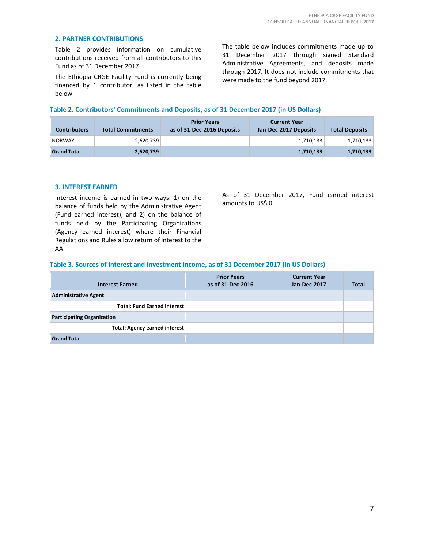# **2. PARTNER CONTRIBUTIONS**

Table 2 provides information on cumulative contributions received from all contributors to this Fund as of 31 December 2017.

The Ethiopia CRGE Facility Fund is currently being financed by 1 contributor, as listed in the table below.

The table below includes commitments made up to 31 December 2017 through signed Standard Administrative Agreements, and deposits made through 2017. It does not include commitments that were made to the fund beyond 2017.

### **Table 2. Contributors' Commitments and Deposits, as of 31 December 2017 (in US Dollars)**

| <b>Contributors</b> | <b>Total Commitments</b> | <b>Prior Years</b><br>as of 31-Dec-2016 Deposits | <b>Current Year</b><br>Jan-Dec-2017 Deposits | <b>Total Deposits</b> |
|---------------------|--------------------------|--------------------------------------------------|----------------------------------------------|-----------------------|
| <b>NORWAY</b>       | 2,620,739                |                                                  | 1,710,133                                    | 1,710,133             |
| <b>Grand Total</b>  | 2,620,739                |                                                  | 1,710,133                                    | 1,710,133             |

#### **3. INTEREST EARNED**

Interest income is earned in two ways: 1) on the balance of funds held by the Administrative Agent (Fund earned interest), and 2) on the balance of funds held by the Participating Organizations (Agency earned interest) where their Financial Regulations and Rules allow return of interest to the AA.

As of 31 December 2017, Fund earned interest amounts to US\$ 0.

# **Table 3. Sources of Interest and Investment Income, as of 31 December 2017 (in US Dollars)**

| <b>Interest Earned</b>               | <b>Prior Years</b><br>as of 31-Dec-2016 | <b>Current Year</b><br>Jan-Dec-2017 | <b>Total</b> |
|--------------------------------------|-----------------------------------------|-------------------------------------|--------------|
| <b>Administrative Agent</b>          |                                         |                                     |              |
| <b>Total: Fund Earned Interest</b>   |                                         |                                     |              |
| <b>Participating Organization</b>    |                                         |                                     |              |
| <b>Total: Agency earned interest</b> |                                         |                                     |              |
| <b>Grand Total</b>                   |                                         |                                     |              |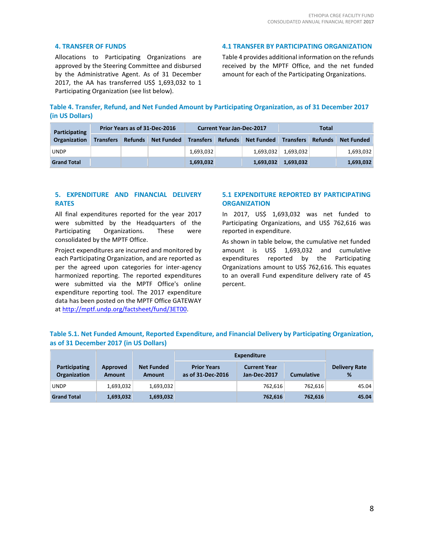### **4. TRANSFER OF FUNDS**

Allocations to Participating Organizations are approved by the Steering Committee and disbursed by the Administrative Agent. As of 31 December 2017, the AA has transferred US\$ 1,693,032 to 1 Participating Organization (see list below).

#### **4.1 TRANSFER BY PARTICIPATING ORGANIZATION**

Table 4 provides additional information on the refunds received by the MPTF Office, and the net funded amount for each of the Participating Organizations.

**Table 4. Transfer, Refund, and Net Funded Amount by Participating Organization, as of 31 December 2017 (in US Dollars)**

| Participating       |                  | Prior Years as of 31-Dec-2016 | <b>Current Year Jan-Dec-2017</b> |  | Total                                |           |  |                   |
|---------------------|------------------|-------------------------------|----------------------------------|--|--------------------------------------|-----------|--|-------------------|
| <b>Organization</b> | <b>Transfers</b> | Refunds Net Funded            | <b>Transfers</b>                 |  | Refunds Net Funded Transfers Refunds |           |  | <b>Net Funded</b> |
| <b>UNDP</b>         |                  |                               | 1,693,032                        |  | 1.693.032                            | 1,693,032 |  | 1,693,032         |
| <b>Grand Total</b>  |                  |                               | 1,693,032                        |  | 1,693,032                            | 1,693,032 |  | 1,693,032         |

# **5. EXPENDITURE AND FINANCIAL DELIVERY RATES**

All final expenditures reported for the year 2017 were submitted by the Headquarters of the Participating Organizations. These were consolidated by the MPTF Office.

Project expenditures are incurred and monitored by each Participating Organization, and are reported as per the agreed upon categories for inter-agency harmonized reporting. The reported expenditures were submitted via the MPTF Office's online expenditure reporting tool. The 2017 expenditure data has been posted on the MPTF Office GATEWAY at [http://mptf.undp.org/factsheet/fund/3ET00.](http://mptf.undp.org/factsheet/fund/3ET00)

# **5.1 EXPENDITURE REPORTED BY PARTICIPATING ORGANIZATION**

In 2017, US\$ 1,693,032 was net funded to Participating Organizations, and US\$ 762,616 was reported in expenditure.

As shown in table below, the cumulative net funded amount is US\$ 1,693,032 and cumulative expenditures reported by the Participating Organizations amount to US\$ 762,616. This equates to an overall Fund expenditure delivery rate of 45 percent.

| Table 5.1. Net Funded Amount, Reported Expenditure, and Financial Delivery by Participating Organization, |  |  |
|-----------------------------------------------------------------------------------------------------------|--|--|
| as of 31 December 2017 (in US Dollars)                                                                    |  |  |

|                                      |                    |                             | <b>Expenditure</b>                      |                                     |                   |                           |
|--------------------------------------|--------------------|-----------------------------|-----------------------------------------|-------------------------------------|-------------------|---------------------------|
| <b>Participating</b><br>Organization | Approved<br>Amount | <b>Net Funded</b><br>Amount | <b>Prior Years</b><br>as of 31-Dec-2016 | <b>Current Year</b><br>Jan-Dec-2017 | <b>Cumulative</b> | <b>Delivery Rate</b><br>% |
| <b>UNDP</b>                          | 1,693,032          | 1,693,032                   |                                         | 762.616                             | 762.616           | 45.04                     |
| <b>Grand Total</b>                   | 1,693,032          | 1,693,032                   |                                         | 762,616                             | 762,616           | 45.04                     |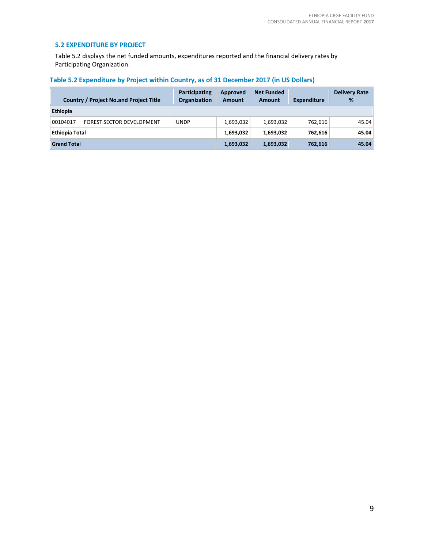# **5.2 EXPENDITURE BY PROJECT**

Table 5.2 displays the net funded amounts, expenditures reported and the financial delivery rates by Participating Organization.

| Table 5.2 Expenditure by Project within Country, as of 31 December 2017 (in US Dollars) |  |  |  |  |
|-----------------------------------------------------------------------------------------|--|--|--|--|
|-----------------------------------------------------------------------------------------|--|--|--|--|

|                       | <b>Country / Project No.and Project Title</b> | Participating<br><b>Organization</b> | Approved<br>Amount | <b>Net Funded</b><br><b>Amount</b> | <b>Expenditure</b> | <b>Delivery Rate</b><br>% |
|-----------------------|-----------------------------------------------|--------------------------------------|--------------------|------------------------------------|--------------------|---------------------------|
| <b>Ethiopia</b>       |                                               |                                      |                    |                                    |                    |                           |
| 00104017              | <b>FOREST SECTOR DEVELOPMENT</b>              | <b>UNDP</b>                          | 1,693,032          | 1,693,032                          | 762,616            | 45.04                     |
| <b>Ethiopia Total</b> |                                               |                                      | 1,693,032          | 1,693,032                          | 762,616            | 45.04                     |
| <b>Grand Total</b>    |                                               |                                      | 1,693,032          | 1,693,032                          | 762,616            | 45.04                     |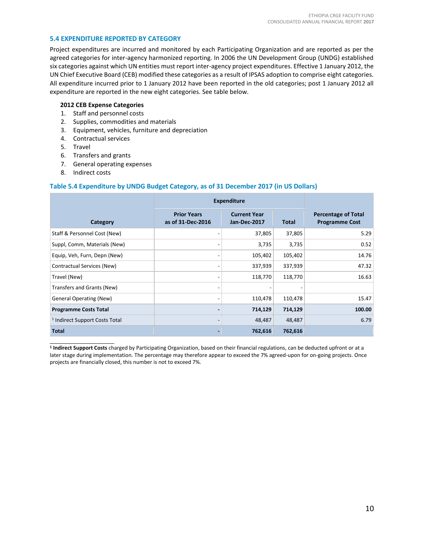# **5.4 EXPENDITURE REPORTED BY CATEGORY**

Project expenditures are incurred and monitored by each Participating Organization and are reported as per the agreed categories for inter-agency harmonized reporting. In 2006 the UN Development Group (UNDG) established six categories against which UN entities must report inter-agency project expenditures. Effective 1 January 2012, the UN Chief Executive Board (CEB) modified these categories as a result of IPSAS adoption to comprise eight categories. All expenditure incurred prior to 1 January 2012 have been reported in the old categories; post 1 January 2012 all expenditure are reported in the new eight categories. See table below.

#### **2012 CEB Expense Categories**

- 1. Staff and personnel costs
- 2. Supplies, commodities and materials
- 3. Equipment, vehicles, furniture and depreciation
- 4. Contractual services
- 5. Travel
- 6. Transfers and grants
- 7. General operating expenses
- 8. Indirect costs

# **Table 5.4 Expenditure by UNDG Budget Category, as of 31 December 2017 (in US Dollars)**

|                                           | <b>Expenditure</b>                      |                                     |              |                                                     |
|-------------------------------------------|-----------------------------------------|-------------------------------------|--------------|-----------------------------------------------------|
| Category                                  | <b>Prior Years</b><br>as of 31-Dec-2016 | <b>Current Year</b><br>Jan-Dec-2017 | <b>Total</b> | <b>Percentage of Total</b><br><b>Programme Cost</b> |
| Staff & Personnel Cost (New)              |                                         | 37,805                              | 37,805       | 5.29                                                |
| Suppl, Comm, Materials (New)              |                                         | 3,735                               | 3,735        | 0.52                                                |
| Equip, Veh, Furn, Depn (New)              |                                         | 105,402                             | 105,402      | 14.76                                               |
| Contractual Services (New)                |                                         | 337,939                             | 337,939      | 47.32                                               |
| Travel (New)                              |                                         | 118,770                             | 118,770      | 16.63                                               |
| Transfers and Grants (New)                |                                         |                                     |              |                                                     |
| <b>General Operating (New)</b>            |                                         | 110,478                             | 110,478      | 15.47                                               |
| <b>Programme Costs Total</b>              |                                         | 714,129                             | 714,129      | 100.00                                              |
| <sup>1</sup> Indirect Support Costs Total |                                         | 48,487                              | 48,487       | 6.79                                                |
| <b>Total</b>                              |                                         | 762,616                             | 762,616      |                                                     |

\_\_\_\_\_\_\_\_\_\_\_\_\_\_\_\_\_\_\_\_\_\_ **1 Indirect Support Costs** charged by Participating Organization, based on their financial regulations, can be deducted upfront or at a later stage during implementation. The percentage may therefore appear to exceed the 7% agreed-upon for on-going projects. Once projects are financially closed, this number is not to exceed 7%.